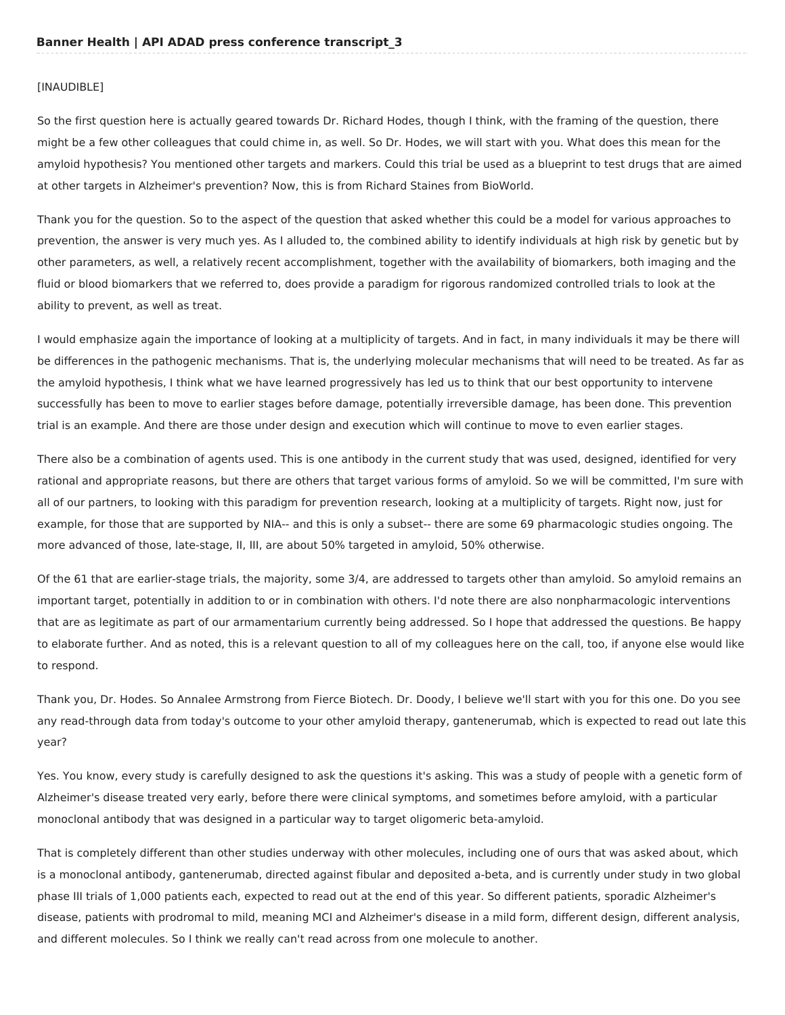## [INAUDIBLE]

So the first question here is actually geared towards Dr. Richard Hodes, though I think, with the framing of the question, there might be a few other colleagues that could chime in, as well. So Dr. Hodes, we will start with you. What does this mean for the amyloid hypothesis? You mentioned other targets and markers. Could this trial be used as a blueprint to test drugs that are aimed at other targets in Alzheimer's prevention? Now, this is from Richard Staines from BioWorld.

Thank you for the question. So to the aspect of the question that asked whether this could be a model for various approaches to prevention, the answer is very much yes. As I alluded to, the combined ability to identify individuals at high risk by genetic but by other parameters, as well, a relatively recent accomplishment, together with the availability of biomarkers, both imaging and the fluid or blood biomarkers that we referred to, does provide a paradigm for rigorous randomized controlled trials to look at the ability to prevent, as well as treat.

I would emphasize again the importance of looking at a multiplicity of targets. And in fact, in many individuals it may be there will be differences in the pathogenic mechanisms. That is, the underlying molecular mechanisms that will need to be treated. As far as the amyloid hypothesis, I think what we have learned progressively has led us to think that our best opportunity to intervene successfully has been to move to earlier stages before damage, potentially irreversible damage, has been done. This prevention trial is an example. And there are those under design and execution which will continue to move to even earlier stages.

There also be a combination of agents used. This is one antibody in the current study that was used, designed, identified for very rational and appropriate reasons, but there are others that target various forms of amyloid. So we will be committed, I'm sure with all of our partners, to looking with this paradigm for prevention research, looking at a multiplicity of targets. Right now, just for example, for those that are supported by NIA-- and this is only a subset-- there are some 69 pharmacologic studies ongoing. The more advanced of those, late-stage, II, III, are about 50% targeted in amyloid, 50% otherwise.

Of the 61 that are earlier-stage trials, the majority, some 3/4, are addressed to targets other than amyloid. So amyloid remains an important target, potentially in addition to or in combination with others. I'd note there are also nonpharmacologic interventions that are as legitimate as part of our armamentarium currently being addressed. So I hope that addressed the questions. Be happy to elaborate further. And as noted, this is a relevant question to all of my colleagues here on the call, too, if anyone else would like to respond.

Thank you, Dr. Hodes. So Annalee Armstrong from Fierce Biotech. Dr. Doody, I believe we'll start with you for this one. Do you see any read-through data from today's outcome to your other amyloid therapy, gantenerumab, which is expected to read out late this year?

Yes. You know, every study is carefully designed to ask the questions it's asking. This was a study of people with a genetic form of Alzheimer's disease treated very early, before there were clinical symptoms, and sometimes before amyloid, with a particular monoclonal antibody that was designed in a particular way to target oligomeric beta-amyloid.

That is completely different than other studies underway with other molecules, including one of ours that was asked about, which is a monoclonal antibody, gantenerumab, directed against fibular and deposited a-beta, and is currently under study in two global phase III trials of 1,000 patients each, expected to read out at the end of this year. So different patients, sporadic Alzheimer's disease, patients with prodromal to mild, meaning MCI and Alzheimer's disease in a mild form, different design, different analysis, and different molecules. So I think we really can't read across from one molecule to another.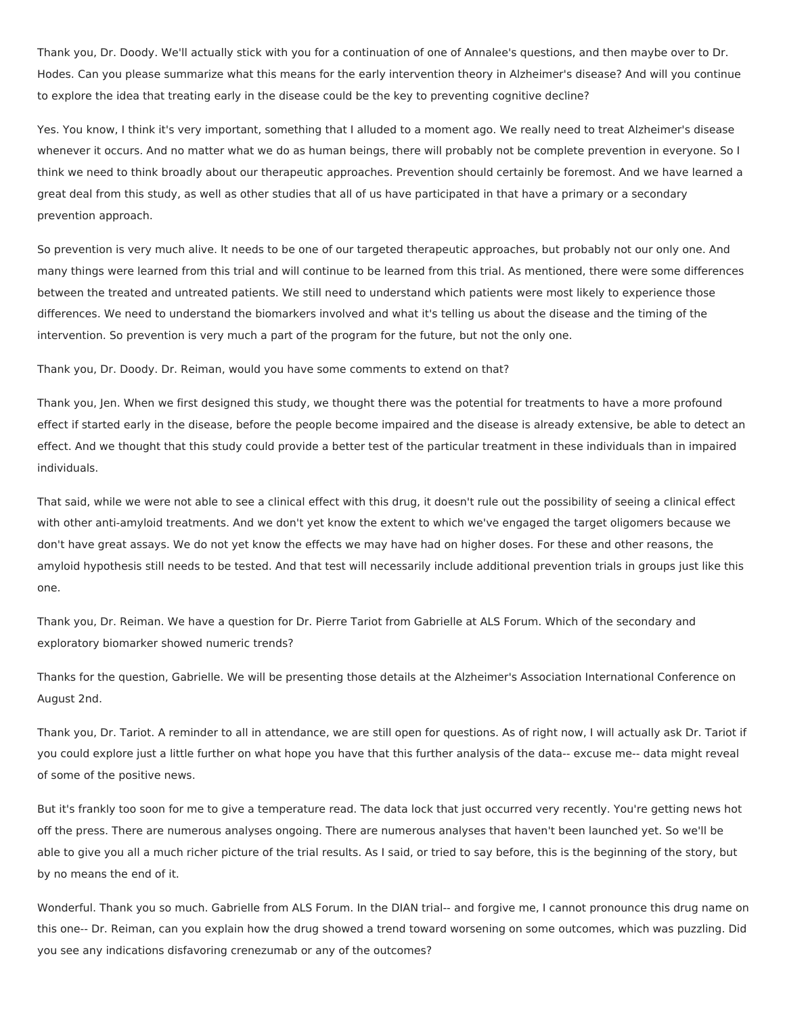Thank you, Dr. Doody. We'll actually stick with you for a continuation of one of Annalee's questions, and then maybe over to Dr. Hodes. Can you please summarize what this means for the early intervention theory in Alzheimer's disease? And will you continue to explore the idea that treating early in the disease could be the key to preventing cognitive decline?

Yes. You know, I think it's very important, something that I alluded to a moment ago. We really need to treat Alzheimer's disease whenever it occurs. And no matter what we do as human beings, there will probably not be complete prevention in everyone. So I think we need to think broadly about our therapeutic approaches. Prevention should certainly be foremost. And we have learned a great deal from this study, as well as other studies that all of us have participated in that have a primary or a secondary prevention approach.

So prevention is very much alive. It needs to be one of our targeted therapeutic approaches, but probably not our only one. And many things were learned from this trial and will continue to be learned from this trial. As mentioned, there were some differences between the treated and untreated patients. We still need to understand which patients were most likely to experience those differences. We need to understand the biomarkers involved and what it's telling us about the disease and the timing of the intervention. So prevention is very much a part of the program for the future, but not the only one.

Thank you, Dr. Doody. Dr. Reiman, would you have some comments to extend on that?

Thank you, Jen. When we first designed this study, we thought there was the potential for treatments to have a more profound effect if started early in the disease, before the people become impaired and the disease is already extensive, be able to detect an effect. And we thought that this study could provide a better test of the particular treatment in these individuals than in impaired individuals.

That said, while we were not able to see a clinical effect with this drug, it doesn't rule out the possibility of seeing a clinical effect with other anti-amyloid treatments. And we don't yet know the extent to which we've engaged the target oligomers because we don't have great assays. We do not yet know the effects we may have had on higher doses. For these and other reasons, the amyloid hypothesis still needs to be tested. And that test will necessarily include additional prevention trials in groups just like this one.

Thank you, Dr. Reiman. We have a question for Dr. Pierre Tariot from Gabrielle at ALS Forum. Which of the secondary and exploratory biomarker showed numeric trends?

Thanks for the question, Gabrielle. We will be presenting those details at the Alzheimer's Association International Conference on August 2nd.

Thank you, Dr. Tariot. A reminder to all in attendance, we are still open for questions. As of right now, I will actually ask Dr. Tariot if you could explore just a little further on what hope you have that this further analysis of the data-- excuse me-- data might reveal of some of the positive news.

But it's frankly too soon for me to give a temperature read. The data lock that just occurred very recently. You're getting news hot off the press. There are numerous analyses ongoing. There are numerous analyses that haven't been launched yet. So we'll be able to give you all a much richer picture of the trial results. As I said, or tried to say before, this is the beginning of the story, but by no means the end of it.

Wonderful. Thank you so much. Gabrielle from ALS Forum. In the DIAN trial-- and forgive me, I cannot pronounce this drug name on this one-- Dr. Reiman, can you explain how the drug showed a trend toward worsening on some outcomes, which was puzzling. Did you see any indications disfavoring crenezumab or any of the outcomes?